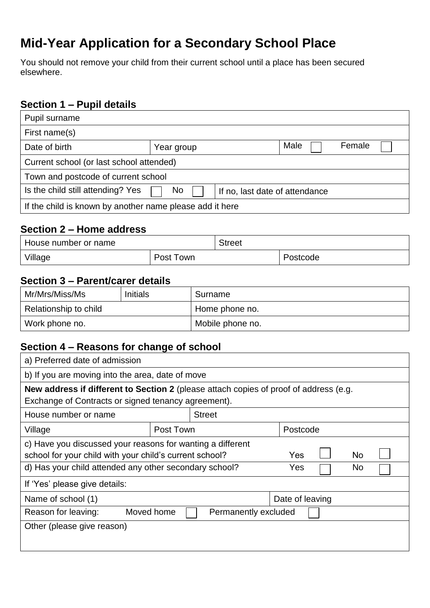# **Mid-Year Application for a Secondary School Place**

You should not remove your child from their current school until a place has been secured elsewhere.

# **Section 1 – Pupil details**

| Pupil surname                                            |            |                                |        |
|----------------------------------------------------------|------------|--------------------------------|--------|
| First name(s)                                            |            |                                |        |
| Date of birth                                            | Year group | Male                           | Female |
| Current school (or last school attended)                 |            |                                |        |
| Town and postcode of current school                      |            |                                |        |
| Is the child still attending? Yes                        | No.        | If no, last date of attendance |        |
| If the child is known by another name please add it here |            |                                |        |

## **Section 2 – Home address**

| House number or name |           | <b>Street</b> |          |
|----------------------|-----------|---------------|----------|
| Village              | Post Town |               | Postcode |

## **Section 3 – Parent/carer details**

| Mr/Mrs/Miss/Ms        | <b>Initials</b> | Surname          |
|-----------------------|-----------------|------------------|
| Relationship to child |                 | Home phone no.   |
| Work phone no.        |                 | Mobile phone no. |

## **Section 4 – Reasons for change of school**

| a) Preferred date of admission                                                        |            |                      |                 |  |           |  |
|---------------------------------------------------------------------------------------|------------|----------------------|-----------------|--|-----------|--|
| b) If you are moving into the area, date of move                                      |            |                      |                 |  |           |  |
| New address if different to Section 2 (please attach copies of proof of address (e.g. |            |                      |                 |  |           |  |
| Exchange of Contracts or signed tenancy agreement).                                   |            |                      |                 |  |           |  |
| House number or name                                                                  |            | <b>Street</b>        |                 |  |           |  |
| Village                                                                               | Post Town  |                      | Postcode        |  |           |  |
| c) Have you discussed your reasons for wanting a different                            |            |                      |                 |  |           |  |
| school for your child with your child's current school?                               |            |                      | Yes             |  | <b>No</b> |  |
| d) Has your child attended any other secondary school?                                |            |                      | Yes             |  | No.       |  |
| If 'Yes' please give details:                                                         |            |                      |                 |  |           |  |
| Name of school (1)                                                                    |            |                      | Date of leaving |  |           |  |
| Reason for leaving:                                                                   | Moved home | Permanently excluded |                 |  |           |  |
| Other (please give reason)                                                            |            |                      |                 |  |           |  |
|                                                                                       |            |                      |                 |  |           |  |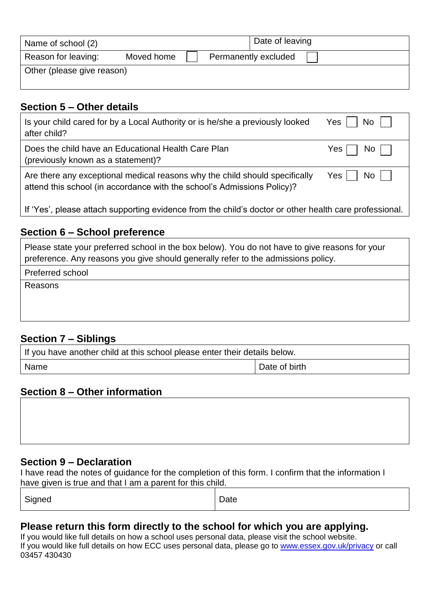| Name of school (2)         |            |  | Date of leaving      |
|----------------------------|------------|--|----------------------|
| Reason for leaving:        | Moved home |  | Permanently excluded |
| Other (please give reason) |            |  |                      |

## **Section 5 – Other details**

| Is your child cared for by a Local Authority or is he/she a previously looked                          | $No$ $\Box$ |
|--------------------------------------------------------------------------------------------------------|-------------|
| after child?                                                                                           | Yes         |
| Does the child have an Educational Health Care Plan                                                    | $No$        |
| (previously known as a statement)?                                                                     | Yes I       |
| Are there any exceptional medical reasons why the child should specifically                            | $No$        |
| attend this school (in accordance with the school's Admissions Policy)?                                | Yes         |
| If 'Yes', please attach supporting evidence from the child's doctor or other health care professional. |             |

## **Section 6 – School preference**

| Please state your preferred school in the box below). You do not have to give reasons for your |
|------------------------------------------------------------------------------------------------|
| preference. Any reasons you give should generally refer to the admissions policy.              |

Preferred school

Reasons

# **Section 7 – Siblings**

| If you have another child at this school please enter their details below. |               |
|----------------------------------------------------------------------------|---------------|
| Name                                                                       | Date of birth |

## **Section 8 – Other information**

## **Section 9 – Declaration**

I have read the notes of guidance for the completion of this form. I confirm that the information I have given is true and that I am a parent for this child.

| $ -$ | $\ddot{\phantom{1}}$ | paw |
|------|----------------------|-----|
|------|----------------------|-----|

## **Please return this form directly to the school for which you are applying.**

If you would like full details on how a school uses personal data, please visit the school website. If you would like full details on how ECC uses personal data, please go to [www.essex.gov.uk/privacy](http://www.essex.gov.uk/privacy) or call 03457 430430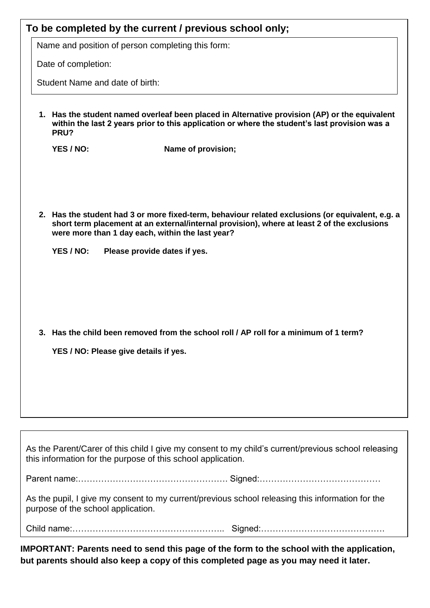|                                       | To be completed by the current / previous school only;<br>Name and position of person completing this form:                                                                                                                                                                         |
|---------------------------------------|-------------------------------------------------------------------------------------------------------------------------------------------------------------------------------------------------------------------------------------------------------------------------------------|
| Date of completion:                   |                                                                                                                                                                                                                                                                                     |
| Student Name and date of birth:       |                                                                                                                                                                                                                                                                                     |
| PRU?                                  | 1. Has the student named overleaf been placed in Alternative provision (AP) or the equivalent<br>within the last 2 years prior to this application or where the student's last provision was a                                                                                      |
| YES / NO:                             | Name of provision;                                                                                                                                                                                                                                                                  |
| YES / NO:                             | 2. Has the student had 3 or more fixed-term, behaviour related exclusions (or equivalent, e.g. a<br>short term placement at an external/internal provision), where at least 2 of the exclusions<br>were more than 1 day each, within the last year?<br>Please provide dates if yes. |
| YES / NO: Please give details if yes. | 3. Has the child been removed from the school roll / AP roll for a minimum of 1 term?                                                                                                                                                                                               |
|                                       |                                                                                                                                                                                                                                                                                     |
|                                       | As the Parent/Carer of this child I give my consent to my child's current/previous school releasing<br>this information for the purpose of this school application.                                                                                                                 |
|                                       |                                                                                                                                                                                                                                                                                     |
|                                       | As the pupil, I give my consent to my current/previous school releasing this information for the                                                                                                                                                                                    |

purpose of the school application.

Child name:…………………………………………….. Signed:…………………………………….

**IMPORTANT: Parents need to send this page of the form to the school with the application, but parents should also keep a copy of this completed page as you may need it later.**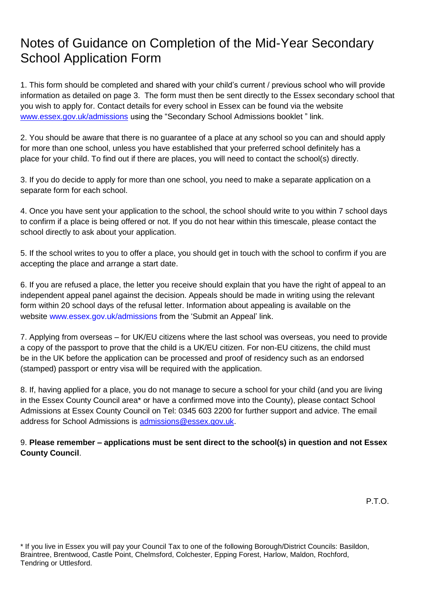# Notes of Guidance on Completion of the Mid-Year Secondary School Application Form

1. This form should be completed and shared with your child's current / previous school who will provide information as detailed on page 3. The form must then be sent directly to the Essex secondary school that you wish to apply for. Contact details for every school in Essex can be found via the website [www.essex.gov.uk/admissions](http://www.essex.gov.uk/admissions) using the "Secondary School Admissions booklet " link.

2. You should be aware that there is no guarantee of a place at any school so you can and should apply for more than one school, unless you have established that your preferred school definitely has a place for your child. To find out if there are places, you will need to contact the school(s) directly.

3. If you do decide to apply for more than one school, you need to make a separate application on a separate form for each school.

4. Once you have sent your application to the school, the school should write to you within 7 school days to confirm if a place is being offered or not. If you do not hear within this timescale, please contact the school directly to ask about your application.

5. If the school writes to you to offer a place, you should get in touch with the school to confirm if you are accepting the place and arrange a start date.

6. If you are refused a place, the letter you receive should explain that you have the right of appeal to an independent appeal panel against the decision. Appeals should be made in writing using the relevant form within 20 school days of the refusal letter. Information about appealing is available on the website www.essex.gov.uk/admissions from the 'Submit an Appeal' link.

7. Applying from overseas – for UK/EU citizens where the last school was overseas, you need to provide a copy of the passport to prove that the child is a UK/EU citizen. For non-EU citizens, the child must be in the UK before the application can be processed and proof of residency such as an endorsed (stamped) passport or entry visa will be required with the application.

8. If, having applied for a place, you do not manage to secure a school for your child (and you are living in the Essex County Council area\* or have a confirmed move into the County), please contact School Admissions at Essex County Council on Tel: 0345 603 2200 for further support and advice. The email address for School Admissions is [admissions@essex.gov.uk.](mailto:admissions@essex.gov.uk)

## 9. **Please remember – applications must be sent direct to the school(s) in question and not Essex County Council**.

P.T.O.

\* If you live in Essex you will pay your Council Tax to one of the following Borough/District Councils: Basildon, Braintree, Brentwood, Castle Point, Chelmsford, Colchester, Epping Forest, Harlow, Maldon, Rochford, Tendring or Uttlesford.